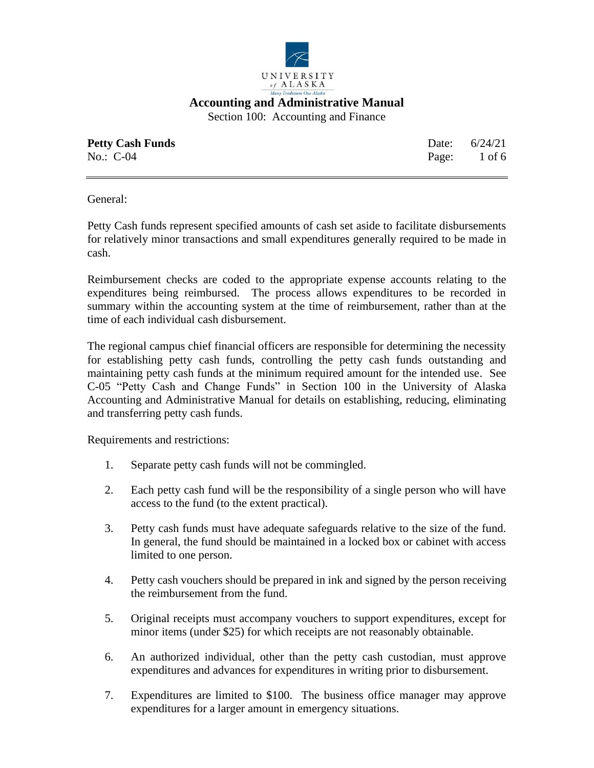

Section 100: Accounting and Finance

| <b>Petty Cash Funds</b> | Date: $6/24/21$ |
|-------------------------|-----------------|
| No.: $C-04$             | Page: 1 of 6    |

General:

Petty Cash funds represent specified amounts of cash set aside to facilitate disbursements for relatively minor transactions and small expenditures generally required to be made in cash.

Reimbursement checks are coded to the appropriate expense accounts relating to the expenditures being reimbursed. The process allows expenditures to be recorded in summary within the accounting system at the time of reimbursement, rather than at the time of each individual cash disbursement.

The regional campus chief financial officers are responsible for determining the necessity for establishing petty cash funds, controlling the petty cash funds outstanding and maintaining petty cash funds at the minimum required amount for the intended use. See C-05 "Petty Cash and Change Funds" in Section 100 in the University of Alaska Accounting and Administrative Manual for details on establishing, reducing, eliminating and transferring petty cash funds.

Requirements and restrictions:

- 1. Separate petty cash funds will not be commingled.
- 2. Each petty cash fund will be the responsibility of a single person who will have access to the fund (to the extent practical).
- 3. Petty cash funds must have adequate safeguards relative to the size of the fund. In general, the fund should be maintained in a locked box or cabinet with access limited to one person.
- 4. Petty cash vouchers should be prepared in ink and signed by the person receiving the reimbursement from the fund.
- 5. Original receipts must accompany vouchers to support expenditures, except for minor items (under \$25) for which receipts are not reasonably obtainable.
- 6. An authorized individual, other than the petty cash custodian, must approve expenditures and advances for expenditures in writing prior to disbursement.
- 7. Expenditures are limited to \$100. The business office manager may approve expenditures for a larger amount in emergency situations.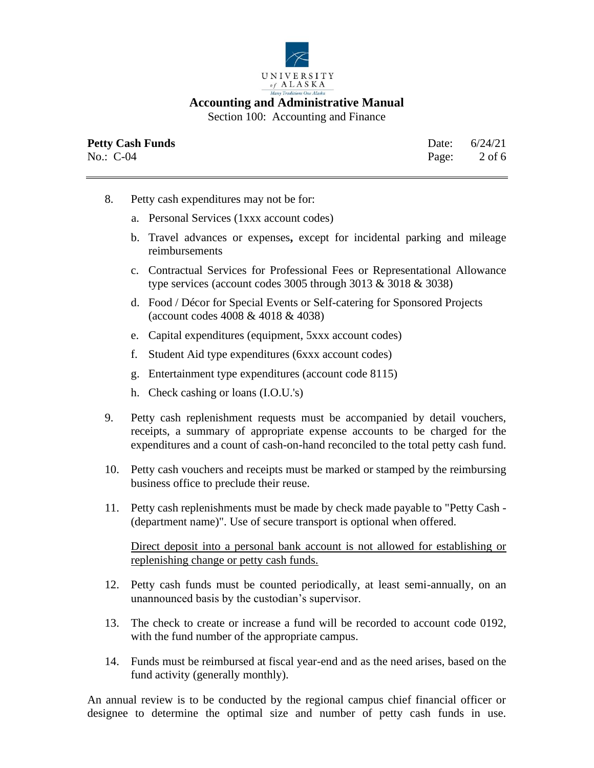

Section 100: Accounting and Finance

| <b>Petty Cash Funds</b> | Date: $6/24/21$ |
|-------------------------|-----------------|
| No.: $C-04$             | Page: 2 of 6    |

- 8. Petty cash expenditures may not be for:
	- a. Personal Services (1xxx account codes)
	- b. Travel advances or expenses**,** except for incidental parking and mileage reimbursements
	- c. Contractual Services for Professional Fees or Representational Allowance type services (account codes  $3005$  through  $3013 \& 3018 \& 3038$ )
	- d. Food / Décor for Special Events or Self-catering for Sponsored Projects (account codes 4008 & 4018 & 4038)
	- e. Capital expenditures (equipment, 5xxx account codes)
	- f. Student Aid type expenditures (6xxx account codes)
	- g. Entertainment type expenditures (account code 8115)
	- h. Check cashing or loans (I.O.U.'s)
- 9. Petty cash replenishment requests must be accompanied by detail vouchers, receipts, a summary of appropriate expense accounts to be charged for the expenditures and a count of cash-on-hand reconciled to the total petty cash fund.
- 10. Petty cash vouchers and receipts must be marked or stamped by the reimbursing business office to preclude their reuse.
- 11. Petty cash replenishments must be made by check made payable to "Petty Cash (department name)". Use of secure transport is optional when offered.

Direct deposit into a personal bank account is not allowed for establishing or replenishing change or petty cash funds.

- 12. Petty cash funds must be counted periodically, at least semi-annually, on an unannounced basis by the custodian's supervisor.
- 13. The check to create or increase a fund will be recorded to account code 0192, with the fund number of the appropriate campus.
- 14. Funds must be reimbursed at fiscal year-end and as the need arises, based on the fund activity (generally monthly).

An annual review is to be conducted by the regional campus chief financial officer or designee to determine the optimal size and number of petty cash funds in use.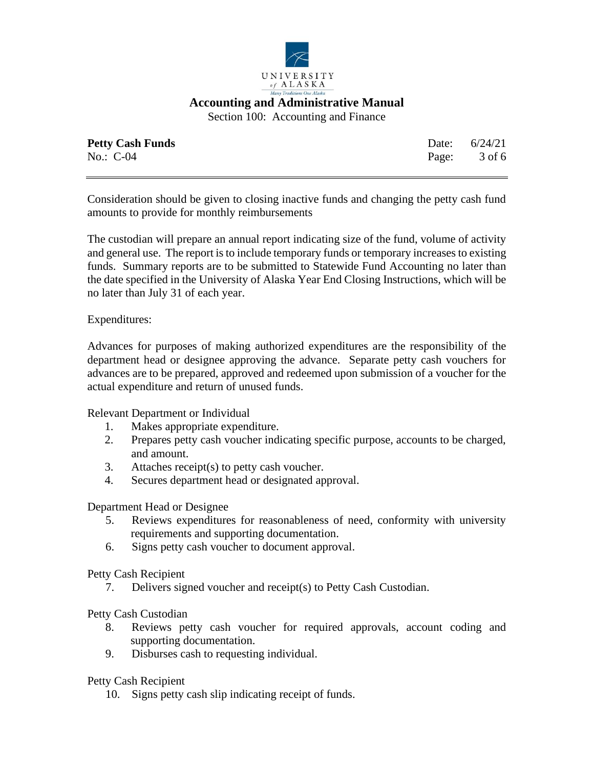

Section 100: Accounting and Finance

| <b>Petty Cash Funds</b> | Date: $6/24/21$ |
|-------------------------|-----------------|
| No.: $C-04$             | Page: 3 of 6    |

Consideration should be given to closing inactive funds and changing the petty cash fund amounts to provide for monthly reimbursements

The custodian will prepare an annual report indicating size of the fund, volume of activity and general use. The report is to include temporary funds or temporary increases to existing funds. Summary reports are to be submitted to Statewide Fund Accounting no later than the date specified in the University of Alaska Year End Closing Instructions, which will be no later than July 31 of each year.

Expenditures:

Advances for purposes of making authorized expenditures are the responsibility of the department head or designee approving the advance. Separate petty cash vouchers for advances are to be prepared, approved and redeemed upon submission of a voucher for the actual expenditure and return of unused funds.

Relevant Department or Individual

- 1. Makes appropriate expenditure.
- 2. Prepares petty cash voucher indicating specific purpose, accounts to be charged, and amount.
- 3. Attaches receipt(s) to petty cash voucher.
- 4. Secures department head or designated approval.

Department Head or Designee

- 5. Reviews expenditures for reasonableness of need, conformity with university requirements and supporting documentation.
- 6. Signs petty cash voucher to document approval.

Petty Cash Recipient

7. Delivers signed voucher and receipt(s) to Petty Cash Custodian.

Petty Cash Custodian

- 8. Reviews petty cash voucher for required approvals, account coding and supporting documentation.
- 9. Disburses cash to requesting individual.

Petty Cash Recipient

10. Signs petty cash slip indicating receipt of funds.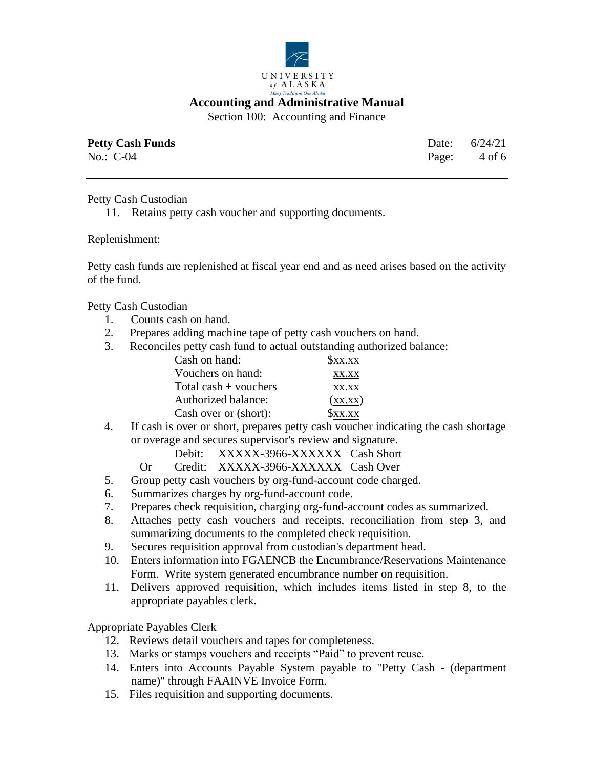

Section 100: Accounting and Finance

| <b>Petty Cash Funds</b> | Date: $6/24/21$ |
|-------------------------|-----------------|
| No.: $C-04$             | Page: 4 of 6    |

## Petty Cash Custodian

11. Retains petty cash voucher and supporting documents.

#### Replenishment:

Petty cash funds are replenished at fiscal year end and as need arises based on the activity of the fund.

Petty Cash Custodian

- 1. Counts cash on hand.
- 2. Prepares adding machine tape of petty cash vouchers on hand.
- 3. Reconciles petty cash fund to actual outstanding authorized balance:

| Sxx.xx   |
|----------|
| XX.XX    |
| XX.XX    |
| (XX,XX)  |
| $x_{xx}$ |
|          |

4. If cash is over or short, prepares petty cash voucher indicating the cash shortage or overage and secures supervisor's review and signature.

Debit: XXXXX-3966-XXXXXX Cash Short

- Or Credit: XXXXX-3966-XXXXXX Cash Over
- 5. Group petty cash vouchers by org-fund-account code charged.
- 6. Summarizes charges by org-fund-account code.
- 7. Prepares check requisition, charging org-fund-account codes as summarized.
- 8. Attaches petty cash vouchers and receipts, reconciliation from step 3, and summarizing documents to the completed check requisition.
- 9. Secures requisition approval from custodian's department head.
- 10. Enters information into FGAENCB the Encumbrance/Reservations Maintenance Form. Write system generated encumbrance number on requisition.
- 11. Delivers approved requisition, which includes items listed in step 8, to the appropriate payables clerk.

## Appropriate Payables Clerk

- 12. Reviews detail vouchers and tapes for completeness.
- 13. Marks or stamps vouchers and receipts "Paid" to prevent reuse.
- 14. Enters into Accounts Payable System payable to "Petty Cash (department name)" through FAAINVE Invoice Form.
- 15. Files requisition and supporting documents.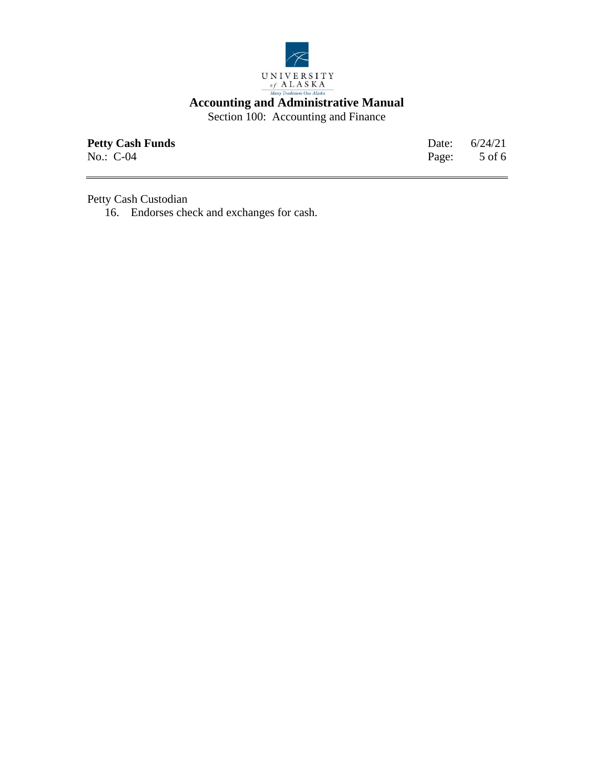

Section 100: Accounting and Finance

| <b>Petty Cash Funds</b> | Date: $6/24/21$ |
|-------------------------|-----------------|
| No.: $C-04$             | Page: 5 of 6    |

Petty Cash Custodian

16. Endorses check and exchanges for cash.